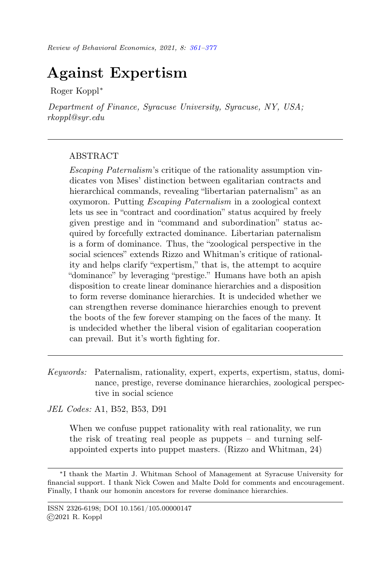# <span id="page-0-0"></span>Against Expertism

Roger Koppl<sup>∗</sup>

Department of Finance, Syracuse University, Syracuse, NY, USA; rkoppl@syr.edu

## ABSTRACT

Escaping Paternalism's critique of the rationality assumption vindicates von Mises' distinction between egalitarian contracts and hierarchical commands, revealing "libertarian paternalism" as an oxymoron. Putting Escaping Paternalism in a zoological context lets us see in "contract and coordination" status acquired by freely given prestige and in "command and subordination" status acquired by forcefully extracted dominance. Libertarian paternalism is a form of dominance. Thus, the "zoological perspective in the social sciences" extends Rizzo and Whitman's critique of rationality and helps clarify "expertism," that is, the attempt to acquire "dominance" by leveraging "prestige." Humans have both an apish disposition to create linear dominance hierarchies and a disposition to form reverse dominance hierarchies. It is undecided whether we can strengthen reverse dominance hierarchies enough to prevent the boots of the few forever stamping on the faces of the many. It is undecided whether the liberal vision of egalitarian cooperation can prevail. But it's worth fighting for.

Keywords: Paternalism, rationality, expert, experts, expertism, status, dominance, prestige, reverse dominance hierarchies, zoological perspective in social science

JEL Codes: A1, B52, B53, D91

When we confuse puppet rationality with real rationality, we run the risk of treating real people as puppets – and turning selfappointed experts into puppet masters. (Rizzo and Whitman, 24)

<sup>∗</sup> I thank the Martin J. Whitman School of Management at Syracuse University for financial support. I thank Nick Cowen and Malte Dold for comments and encouragement. Finally, I thank our homonin ancestors for reverse dominance hierarchies.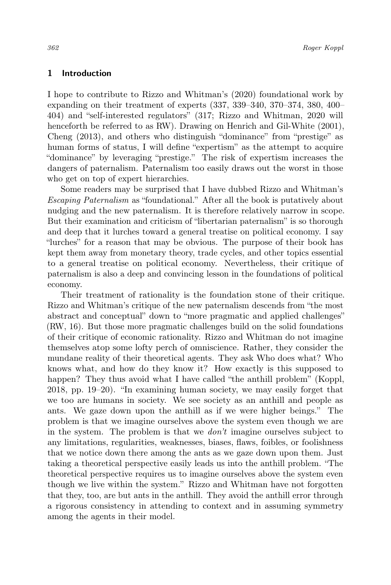#### 1 Introduction

I hope to contribute to Rizzo and Whitman's (2020) foundational work by expanding on their treatment of experts (337, 339–340, 370–374, 380, 400– 404) and "self-interested regulators" (317; Rizzo and Whitman, 2020 will henceforth be referred to as RW). Drawing on Henrich and Gil-White (2001), Cheng (2013), and others who distinguish "dominance" from "prestige" as human forms of status, I will define "expertism" as the attempt to acquire "dominance" by leveraging "prestige." The risk of expertism increases the dangers of paternalism. Paternalism too easily draws out the worst in those who get on top of expert hierarchies.

Some readers may be surprised that I have dubbed Rizzo and Whitman's Escaping Paternalism as "foundational." After all the book is putatively about nudging and the new paternalism. It is therefore relatively narrow in scope. But their examination and criticism of "libertarian paternalism" is so thorough and deep that it lurches toward a general treatise on political economy. I say "lurches" for a reason that may be obvious. The purpose of their book has kept them away from monetary theory, trade cycles, and other topics essential to a general treatise on political economy. Nevertheless, their critique of paternalism is also a deep and convincing lesson in the foundations of political economy.

Their treatment of rationality is the foundation stone of their critique. Rizzo and Whitman's critique of the new paternalism descends from "the most abstract and conceptual" down to "more pragmatic and applied challenges" (RW, 16). But those more pragmatic challenges build on the solid foundations of their critique of economic rationality. Rizzo and Whitman do not imagine themselves atop some lofty perch of omniscience. Rather, they consider the mundane reality of their theoretical agents. They ask Who does what? Who knows what, and how do they know it? How exactly is this supposed to happen? They thus avoid what I have called "the anthill problem" (Koppl, 2018, pp. 19–20). "In examining human society, we may easily forget that we too are humans in society. We see society as an anthill and people as ants. We gaze down upon the anthill as if we were higher beings." The problem is that we imagine ourselves above the system even though we are in the system. The problem is that we don't imagine ourselves subject to any limitations, regularities, weaknesses, biases, flaws, foibles, or foolishness that we notice down there among the ants as we gaze down upon them. Just taking a theoretical perspective easily leads us into the anthill problem. "The theoretical perspective requires us to imagine ourselves above the system even though we live within the system." Rizzo and Whitman have not forgotten that they, too, are but ants in the anthill. They avoid the anthill error through a rigorous consistency in attending to context and in assuming symmetry among the agents in their model.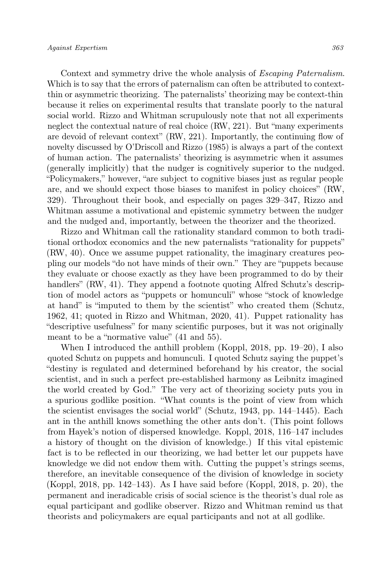Context and symmetry drive the whole analysis of Escaping Paternalism. Which is to say that the errors of paternalism can often be attributed to contextthin or asymmetric theorizing. The paternalists' theorizing may be context-thin because it relies on experimental results that translate poorly to the natural social world. Rizzo and Whitman scrupulously note that not all experiments neglect the contextual nature of real choice (RW, 221). But "many experiments are devoid of relevant context" (RW, 221). Importantly, the continuing flow of novelty discussed by O'Driscoll and Rizzo (1985) is always a part of the context of human action. The paternalists' theorizing is asymmetric when it assumes (generally implicitly) that the nudger is cognitively superior to the nudged. "Policymakers," however, "are subject to cognitive biases just as regular people are, and we should expect those biases to manifest in policy choices" (RW, 329). Throughout their book, and especially on pages 329–347, Rizzo and Whitman assume a motivational and epistemic symmetry between the nudger and the nudged and, importantly, between the theorizer and the theorized.

Rizzo and Whitman call the rationality standard common to both traditional orthodox economics and the new paternalists "rationality for puppets" (RW, 40). Once we assume puppet rationality, the imaginary creatures peopling our models "do not have minds of their own." They are "puppets because they evaluate or choose exactly as they have been programmed to do by their handlers" (RW, 41). They append a footnote quoting Alfred Schutz's description of model actors as "puppets or homunculi" whose "stock of knowledge at hand" is "imputed to them by the scientist" who created them (Schutz, 1962, 41; quoted in Rizzo and Whitman, 2020, 41). Puppet rationality has "descriptive usefulness" for many scientific purposes, but it was not originally meant to be a "normative value" (41 and 55).

When I introduced the anthill problem (Koppl, 2018, pp. 19–20), I also quoted Schutz on puppets and homunculi. I quoted Schutz saying the puppet's "destiny is regulated and determined beforehand by his creator, the social scientist, and in such a perfect pre-established harmony as Leibnitz imagined the world created by God." The very act of theorizing society puts you in a spurious godlike position. "What counts is the point of view from which the scientist envisages the social world" (Schutz, 1943, pp. 144–1445). Each ant in the anthill knows something the other ants don't. (This point follows from Hayek's notion of dispersed knowledge. Koppl, 2018, 116–147 includes a history of thought on the division of knowledge.) If this vital epistemic fact is to be reflected in our theorizing, we had better let our puppets have knowledge we did not endow them with. Cutting the puppet's strings seems, therefore, an inevitable consequence of the division of knowledge in society (Koppl, 2018, pp. 142–143). As I have said before (Koppl, 2018, p. 20), the permanent and ineradicable crisis of social science is the theorist's dual role as equal participant and godlike observer. Rizzo and Whitman remind us that theorists and policymakers are equal participants and not at all godlike.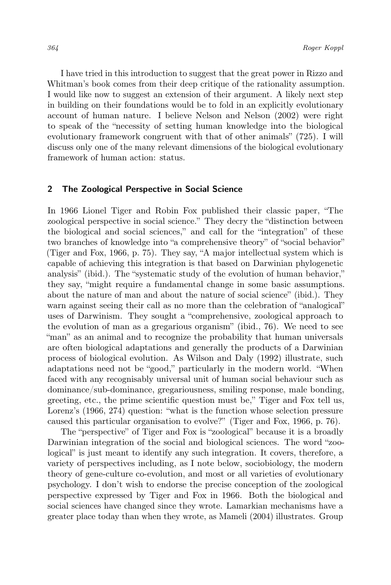I have tried in this introduction to suggest that the great power in Rizzo and Whitman's book comes from their deep critique of the rationality assumption. I would like now to suggest an extension of their argument. A likely next step in building on their foundations would be to fold in an explicitly evolutionary account of human nature. I believe Nelson and Nelson (2002) were right to speak of the "necessity of setting human knowledge into the biological evolutionary framework congruent with that of other animals" (725). I will discuss only one of the many relevant dimensions of the biological evolutionary framework of human action: status.

#### 2 The Zoological Perspective in Social Science

In 1966 Lionel Tiger and Robin Fox published their classic paper, "The zoological perspective in social science." They decry the "distinction between the biological and social sciences," and call for the "integration" of these two branches of knowledge into "a comprehensive theory" of "social behavior" (Tiger and Fox, 1966, p. 75). They say, "A major intellectual system which is capable of achieving this integration is that based on Darwinian phylogenetic analysis" (ibid.). The "systematic study of the evolution of human behavior," they say, "might require a fundamental change in some basic assumptions. about the nature of man and about the nature of social science" (ibid.). They warn against seeing their call as no more than the celebration of "analogical" uses of Darwinism. They sought a "comprehensive, zoological approach to the evolution of man as a gregarious organism" (ibid., 76). We need to see "man" as an animal and to recognize the probability that human universals are often biological adaptations and generally the products of a Darwinian process of biological evolution. As Wilson and Daly (1992) illustrate, such adaptations need not be "good," particularly in the modern world. "When faced with any recognisably universal unit of human social behaviour such as dominance/sub-dominance, gregariousness, smiling response, male bonding, greeting, etc., the prime scientific question must be," Tiger and Fox tell us, Lorenz's (1966, 274) question: "what is the function whose selection pressure caused this particular organisation to evolve?" (Tiger and Fox, 1966, p. 76).

The "perspective" of Tiger and Fox is "zoological" because it is a broadly Darwinian integration of the social and biological sciences. The word "zoological" is just meant to identify any such integration. It covers, therefore, a variety of perspectives including, as I note below, sociobiology, the modern theory of gene-culture co-evolution, and most or all varieties of evolutionary psychology. I don't wish to endorse the precise conception of the zoological perspective expressed by Tiger and Fox in 1966. Both the biological and social sciences have changed since they wrote. Lamarkian mechanisms have a greater place today than when they wrote, as Mameli (2004) illustrates. Group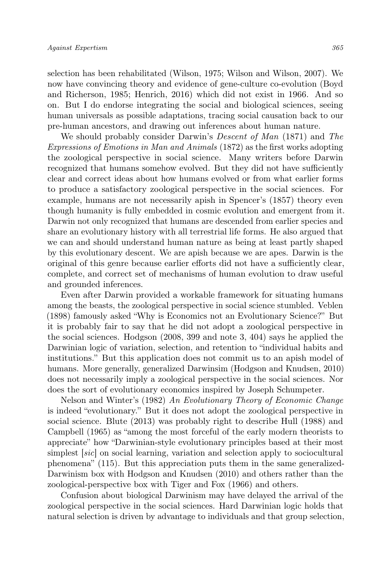selection has been rehabilitated (Wilson, 1975; Wilson and Wilson, 2007). We now have convincing theory and evidence of gene-culture co-evolution (Boyd and Richerson, 1985; Henrich, 2016) which did not exist in 1966. And so on. But I do endorse integrating the social and biological sciences, seeing human universals as possible adaptations, tracing social causation back to our pre-human ancestors, and drawing out inferences about human nature.

We should probably consider Darwin's Descent of Man (1871) and The Expressions of Emotions in Man and Animals (1872) as the first works adopting the zoological perspective in social science. Many writers before Darwin recognized that humans somehow evolved. But they did not have sufficiently clear and correct ideas about how humans evolved or from what earlier forms to produce a satisfactory zoological perspective in the social sciences. For example, humans are not necessarily apish in Spencer's (1857) theory even though humanity is fully embedded in cosmic evolution and emergent from it. Darwin not only recognized that humans are descended from earlier species and share an evolutionary history with all terrestrial life forms. He also argued that we can and should understand human nature as being at least partly shaped by this evolutionary descent. We are apish because we are apes. Darwin is the original of this genre because earlier efforts did not have a sufficiently clear, complete, and correct set of mechanisms of human evolution to draw useful and grounded inferences.

Even after Darwin provided a workable framework for situating humans among the beasts, the zoological perspective in social science stumbled. Veblen (1898) famously asked "Why is Economics not an Evolutionary Science?" But it is probably fair to say that he did not adopt a zoological perspective in the social sciences. Hodgson (2008, 399 and note 3, 404) says he applied the Darwinian logic of variation, selection, and retention to "individual habits and institutions." But this application does not commit us to an apish model of humans. More generally, generalized Darwinsim (Hodgson and Knudsen, 2010) does not necessarily imply a zoological perspective in the social sciences. Nor does the sort of evolutionary economics inspired by Joseph Schumpeter.

Nelson and Winter's (1982) An Evolutionary Theory of Economic Change is indeed "evolutionary." But it does not adopt the zoological perspective in social science. Blute (2013) was probably right to describe Hull (1988) and Campbell (1965) as "among the most forceful of the early modern theorists to appreciate" how "Darwinian-style evolutionary principles based at their most simplest [sic] on social learning, variation and selection apply to sociocultural phenomena" (115). But this appreciation puts them in the same generalized-Darwinism box with Hodgson and Knudsen (2010) and others rather than the zoological-perspective box with Tiger and Fox (1966) and others.

Confusion about biological Darwinism may have delayed the arrival of the zoological perspective in the social sciences. Hard Darwinian logic holds that natural selection is driven by advantage to individuals and that group selection,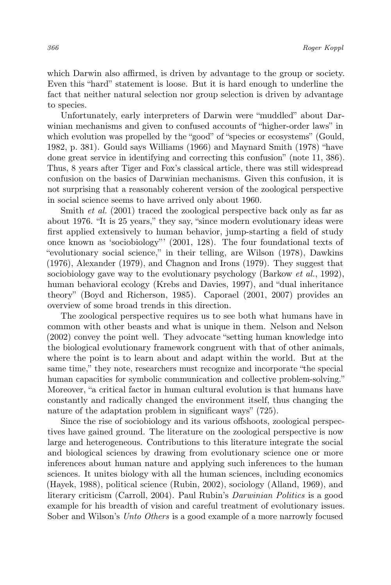which Darwin also affirmed, is driven by advantage to the group or society. Even this "hard" statement is loose. But it is hard enough to underline the fact that neither natural selection nor group selection is driven by advantage to species.

Unfortunately, early interpreters of Darwin were "muddled" about Darwinian mechanisms and given to confused accounts of "higher-order laws" in which evolution was propelled by the "good" of "species or ecosystems" (Gould, 1982, p. 381). Gould says Williams (1966) and Maynard Smith (1978) "have done great service in identifying and correcting this confusion" (note 11, 386). Thus, 8 years after Tiger and Fox's classical article, there was still widespread confusion on the basics of Darwinian mechanisms. Given this confusion, it is not surprising that a reasonably coherent version of the zoological perspective in social science seems to have arrived only about 1960.

Smith *et al.* (2001) traced the zoological perspective back only as far as about 1976. "It is 25 years," they say, "since modern evolutionary ideas were first applied extensively to human behavior, jump-starting a field of study once known as 'sociobiology"' (2001, 128). The four foundational texts of "evolutionary social science," in their telling, are Wilson (1978), Dawkins (1976), Alexander (1979), and Chagnon and Irons (1979). They suggest that sociobiology gave way to the evolutionary psychology (Barkow *et al.*, 1992), human behavioral ecology (Krebs and Davies, 1997), and "dual inheritance theory" (Boyd and Richerson, 1985). Caporael (2001, 2007) provides an overview of some broad trends in this direction.

The zoological perspective requires us to see both what humans have in common with other beasts and what is unique in them. Nelson and Nelson (2002) convey the point well. They advocate "setting human knowledge into the biological evolutionary framework congruent with that of other animals, where the point is to learn about and adapt within the world. But at the same time," they note, researchers must recognize and incorporate "the special human capacities for symbolic communication and collective problem-solving." Moreover, "a critical factor in human cultural evolution is that humans have constantly and radically changed the environment itself, thus changing the nature of the adaptation problem in significant ways" (725).

Since the rise of sociobiology and its various offshoots, zoological perspectives have gained ground. The literature on the zoological perspective is now large and heterogeneous. Contributions to this literature integrate the social and biological sciences by drawing from evolutionary science one or more inferences about human nature and applying such inferences to the human sciences. It unites biology with all the human sciences, including economics (Hayek, 1988), political science (Rubin, 2002), sociology (Alland, 1969), and literary criticism (Carroll, 2004). Paul Rubin's Darwinian Politics is a good example for his breadth of vision and careful treatment of evolutionary issues. Sober and Wilson's Unto Others is a good example of a more narrowly focused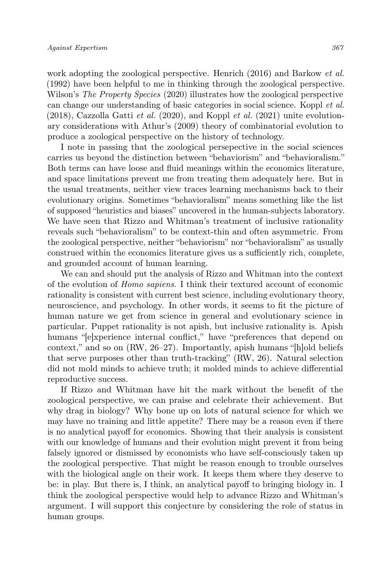work adopting the zoological perspective. Henrich (2016) and Barkow *et al.* (1992) have been helpful to me in thinking through the zoological perspective. Wilson's *The Property Species* (2020) illustrates how the zoological perspective can change our understanding of basic categories in social science. Koppl et al.  $(2018)$ , Cazzolla Gatti et al.  $(2020)$ , and Koppl et al.  $(2021)$  unite evolutionary considerations with Athur's (2009) theory of combinatorial evolution to produce a zoological perspective on the history of technology.

I note in passing that the zoological persepective in the social sciences carries us beyond the distinction between "behaviorism" and "behavioralism." Both terms can have loose and fluid meanings within the economics literature, and space limitations prevent me from treating them adequately here. But in the usual treatments, neither view traces learning mechanisms back to their evolutionary origins. Sometimes "behavioralism" means something like the list of supposed "heuristics and biases" uncovered in the human-subjects laboratory. We have seen that Rizzo and Whitman's treatment of inclusive rationality reveals such "behavioralism" to be context-thin and often asymmetric. From the zoological perspective, neither "behaviorism" nor "behavioralism" as usually construed within the economics literature gives us a sufficiently rich, complete, and grounded account of human learning.

We can and should put the analysis of Rizzo and Whitman into the context of the evolution of Homo sapiens. I think their textured account of economic rationality is consistent with current best science, including evolutionary theory, neuroscience, and psychology. In other words, it seems to fit the picture of human nature we get from science in general and evolutionary science in particular. Puppet rationality is not apish, but inclusive rationality is. Apish humans "[e]xperience internal conflict," have "preferences that depend on context," and so on (RW, 26–27). Importantly, apish humans "[h]old beliefs that serve purposes other than truth-tracking" (RW, 26). Natural selection did not mold minds to achieve truth; it molded minds to achieve differential reproductive success.

If Rizzo and Whitman have hit the mark without the benefit of the zoological perspective, we can praise and celebrate their achievement. But why drag in biology? Why bone up on lots of natural science for which we may have no training and little appetite? There may be a reason even if there is no analytical payoff for economics. Showing that their analysis is consistent with our knowledge of humans and their evolution might prevent it from being falsely ignored or dismissed by economists who have self-consciously taken up the zoological perspective. That might be reason enough to trouble ourselves with the biological angle on their work. It keeps them where they deserve to be: in play. But there is, I think, an analytical payoff to bringing biology in. I think the zoological perspective would help to advance Rizzo and Whitman's argument. I will support this conjecture by considering the role of status in human groups.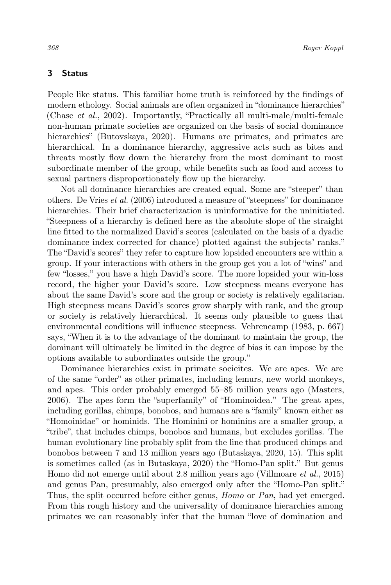## 3 Status

People like status. This familiar home truth is reinforced by the findings of modern ethology. Social animals are often organized in "dominance hierarchies" (Chase et al., 2002). Importantly, "Practically all multi-male/multi-female non-human primate societies are organized on the basis of social dominance hierarchies" (Butovskaya, 2020). Humans are primates, and primates are hierarchical. In a dominance hierarchy, aggressive acts such as bites and threats mostly flow down the hierarchy from the most dominant to most subordinate member of the group, while benefits such as food and access to sexual partners disproportionately flow up the hierarchy.

Not all dominance hierarchies are created equal. Some are "steeper" than others. De Vries et al. (2006) introduced a measure of "steepness" for dominance hierarchies. Their brief characterization is uninformative for the uninitiated. "Steepness of a hierarchy is defined here as the absolute slope of the straight line fitted to the normalized David's scores (calculated on the basis of a dyadic dominance index corrected for chance) plotted against the subjects' ranks." The "David's scores" they refer to capture how lopsided encounters are within a group. If your interactions with others in the group get you a lot of "wins" and few "losses," you have a high David's score. The more lopsided your win-loss record, the higher your David's score. Low steepness means everyone has about the same David's score and the group or society is relatively egalitarian. High steepness means David's scores grow sharply with rank, and the group or society is relatively hierarchical. It seems only plausible to guess that environmental conditions will influence steepness. Vehrencamp (1983, p. 667) says, "When it is to the advantage of the dominant to maintain the group, the dominant will ultimately be limited in the degree of bias it can impose by the options available to subordinates outside the group."

Dominance hierarchies exist in primate socieites. We are apes. We are of the same "order" as other primates, including lemurs, new world monkeys, and apes. This order probably emerged 55–85 million years ago (Masters, 2006). The apes form the "superfamily" of "Hominoidea." The great apes, including gorillas, chimps, bonobos, and humans are a "family" known either as "Homoinidae" or hominids. The Hominini or hominins are a smaller group, a "tribe", that includes chimps, bonobos and humans, but excludes gorillas. The human evolutionary line probably split from the line that produced chimps and bonobos between 7 and 13 million years ago (Butaskaya, 2020, 15). This split is sometimes called (as in Butaskaya, 2020) the "Homo-Pan split." But genus Homo did not emerge until about 2.8 million years ago (Villmoare et al., 2015) and genus Pan, presumably, also emerged only after the "Homo-Pan split." Thus, the split occurred before either genus, *Homo* or *Pan*, had yet emerged. From this rough history and the universality of dominance hierarchies among primates we can reasonably infer that the human "love of domination and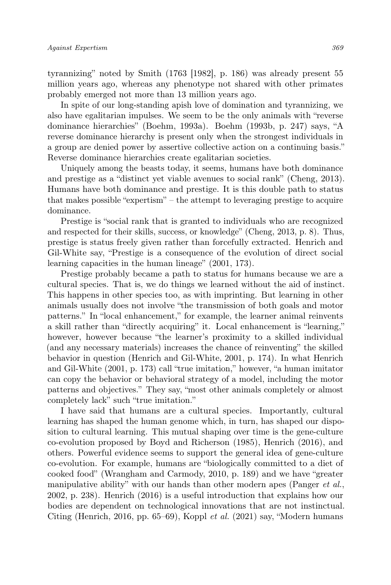tyrannizing" noted by Smith (1763 [1982], p. 186) was already present 55 million years ago, whereas any phenotype not shared with other primates probably emerged not more than 13 million years ago.

In spite of our long-standing apish love of domination and tyrannizing, we also have egalitarian impulses. We seem to be the only animals with "reverse dominance hierarchies" (Boehm, 1993a). Boehm (1993b, p. 247) says, "A reverse dominance hierarchy is present only when the strongest individuals in a group are denied power by assertive collective action on a continuing basis." Reverse dominance hierarchies create egalitarian societies.

Uniquely among the beasts today, it seems, humans have both dominance and prestige as a "distinct yet viable avenues to social rank" (Cheng, 2013). Humans have both dominance and prestige. It is this double path to status that makes possible "expertism" – the attempt to leveraging prestige to acquire dominance.

Prestige is "social rank that is granted to individuals who are recognized and respected for their skills, success, or knowledge" (Cheng, 2013, p. 8). Thus, prestige is status freely given rather than forcefully extracted. Henrich and Gil-White say, "Prestige is a consequence of the evolution of direct social learning capacities in the human lineage" (2001, 173).

Prestige probably became a path to status for humans because we are a cultural species. That is, we do things we learned without the aid of instinct. This happens in other species too, as with imprinting. But learning in other animals usually does not involve "the transmission of both goals and motor patterns." In "local enhancement," for example, the learner animal reinvents a skill rather than "directly acquiring" it. Local enhancement is "learning," however, however because "the learner's proximity to a skilled individual (and any necessary materials) increases the chance of reinventing" the skilled behavior in question (Henrich and Gil-White, 2001, p. 174). In what Henrich and Gil-White (2001, p. 173) call "true imitation," however, "a human imitator can copy the behavior or behavioral strategy of a model, including the motor patterns and objectives." They say, "most other animals completely or almost completely lack" such "true imitation."

I have said that humans are a cultural species. Importantly, cultural learning has shaped the human genome which, in turn, has shaped our disposition to cultural learning. This mutual shaping over time is the gene-culture co-evolution proposed by Boyd and Richerson (1985), Henrich (2016), and others. Powerful evidence seems to support the general idea of gene-culture co-evolution. For example, humans are "biologically committed to a diet of cooked food" (Wrangham and Carmody, 2010, p. 189) and we have "greater manipulative ability" with our hands than other modern apes (Panger et al., 2002, p. 238). Henrich (2016) is a useful introduction that explains how our bodies are dependent on technological innovations that are not instinctual. Citing (Henrich, 2016, pp. 65–69), Koppl et al. (2021) say, "Modern humans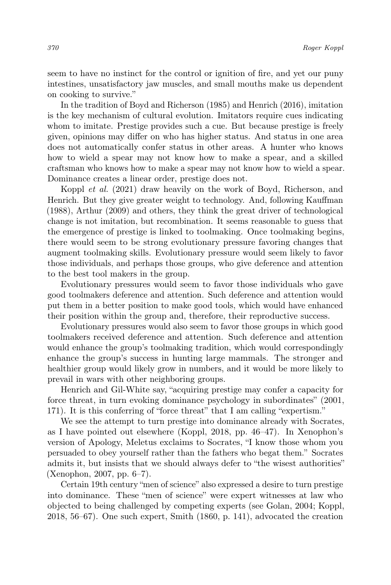seem to have no instinct for the control or ignition of fire, and yet our puny intestines, unsatisfactory jaw muscles, and small mouths make us dependent on cooking to survive."

In the tradition of Boyd and Richerson (1985) and Henrich (2016), imitation is the key mechanism of cultural evolution. Imitators require cues indicating whom to imitate. Prestige provides such a cue. But because prestige is freely given, opinions may differ on who has higher status. And status in one area does not automatically confer status in other areas. A hunter who knows how to wield a spear may not know how to make a spear, and a skilled craftsman who knows how to make a spear may not know how to wield a spear. Dominance creates a linear order, prestige does not.

Koppl et al. (2021) draw heavily on the work of Boyd, Richerson, and Henrich. But they give greater weight to technology. And, following Kauffman (1988), Arthur (2009) and others, they think the great driver of technological change is not imitation, but recombination. It seems reasonable to guess that the emergence of prestige is linked to toolmaking. Once toolmaking begins, there would seem to be strong evolutionary pressure favoring changes that augment toolmaking skills. Evolutionary pressure would seem likely to favor those individuals, and perhaps those groups, who give deference and attention to the best tool makers in the group.

Evolutionary pressures would seem to favor those individuals who gave good toolmakers deference and attention. Such deference and attention would put them in a better position to make good tools, which would have enhanced their position within the group and, therefore, their reproductive success.

Evolutionary pressures would also seem to favor those groups in which good toolmakers received deference and attention. Such deference and attention would enhance the group's toolmaking tradition, which would correspondingly enhance the group's success in hunting large mammals. The stronger and healthier group would likely grow in numbers, and it would be more likely to prevail in wars with other neighboring groups.

Henrich and Gil-White say, "acquiring prestige may confer a capacity for force threat, in turn evoking dominance psychology in subordinates" (2001, 171). It is this conferring of "force threat" that I am calling "expertism."

We see the attempt to turn prestige into dominance already with Socrates, as I have pointed out elsewhere (Koppl, 2018, pp. 46–47). In Xenophon's version of Apology, Meletus exclaims to Socrates, "I know those whom you persuaded to obey yourself rather than the fathers who begat them." Socrates admits it, but insists that we should always defer to "the wisest authorities" (Xenophon, 2007, pp. 6–7).

Certain 19th century "men of science" also expressed a desire to turn prestige into dominance. These "men of science" were expert witnesses at law who objected to being challenged by competing experts (see Golan, 2004; Koppl, 2018, 56–67). One such expert, Smith (1860, p. 141), advocated the creation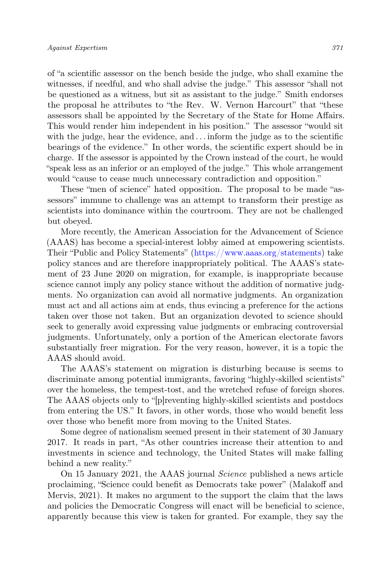of "a scientific assessor on the bench beside the judge, who shall examine the witnesses, if needful, and who shall advise the judge." This assessor "shall not be questioned as a witness, but sit as assistant to the judge." Smith endorses the proposal he attributes to "the Rev. W. Vernon Harcourt" that "these assessors shall be appointed by the Secretary of the State for Home Affairs. This would render him independent in his position." The assessor "would sit with the judge, hear the evidence, and  $\dots$  inform the judge as to the scientific bearings of the evidence." In other words, the scientific expert should be in charge. If the assessor is appointed by the Crown instead of the court, he would "speak less as an inferior or an employed of the judge." This whole arrangement would "cause to cease much unnecessary contradiction and opposition."

These "men of science" hated opposition. The proposal to be made "assessors" immune to challenge was an attempt to transform their prestige as scientists into dominance within the courtroom. They are not be challenged but obeyed.

More recently, the American Association for the Advancement of Science (AAAS) has become a special-interest lobby aimed at empowering scientists. Their "Public and Policy Statements" [\(https://www.aaas.org/statements\)](https://www.aaas.org/statements) take policy stances and are therefore inappropriately political. The AAAS's statement of 23 June 2020 on migration, for example, is inappropriate because science cannot imply any policy stance without the addition of normative judgments. No organization can avoid all normative judgments. An organization must act and all actions aim at ends, thus evincing a preference for the actions taken over those not taken. But an organization devoted to science should seek to generally avoid expressing value judgments or embracing controversial judgments. Unfortunately, only a portion of the American electorate favors substantially freer migration. For the very reason, however, it is a topic the AAAS should avoid.

The AAAS's statement on migration is disturbing because is seems to discriminate among potential immigrants, favoring "highly-skilled scientists" over the homeless, the tempest-tost, and the wretched refuse of foreign shores. The AAAS objects only to "[p]reventing highly-skilled scientists and postdocs from entering the US." It favors, in other words, those who would benefit less over those who benefit more from moving to the United States.

Some degree of nationalism seemed present in their statement of 30 January 2017. It reads in part, "As other countries increase their attention to and investments in science and technology, the United States will make falling behind a new reality."

On 15 January 2021, the AAAS journal Science published a news article proclaiming, "Science could benefit as Democrats take power" (Malakoff and Mervis, 2021). It makes no argument to the support the claim that the laws and policies the Democratic Congress will enact will be beneficial to science, apparently because this view is taken for granted. For example, they say the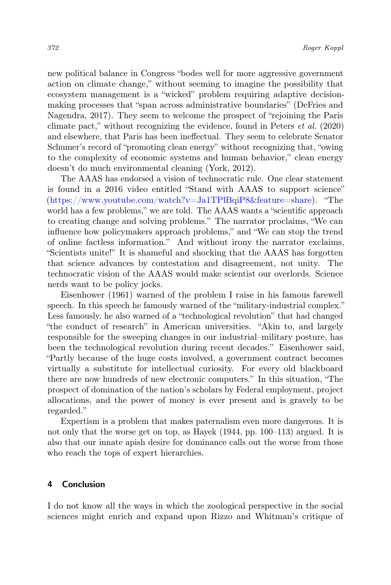new political balance in Congress "bodes well for more aggressive government action on climate change," without seeming to imagine the possibility that ecosystem management is a "wicked" problem requiring adaptive decisionmaking processes that "span across administrative boundaries" (DeFries and Nagendra, 2017). They seem to welcome the prospect of "rejoining the Paris climate pact," without recognizing the evidence, found in Peters *et al.* (2020) and elsewhere, that Paris has been ineffectual. They seem to celebrate Senator Schumer's record of "promoting clean energy" without recognizing that, "owing to the complexity of economic systems and human behavior," clean energy doesn't do much environmental cleaning (York, 2012).

The AAAS has endorsed a vision of technocratic rule. One clear statement is found in a 2016 video entitled "Stand with AAAS to support science" [\(https://www.youtube.com/watch?v=Ja1TPlBqiP8&feature=share\)](https://www.youtube.com/watch?v=Ja1TPlBqiP8&feature=share). "The world has a few problems," we are told. The AAAS wants a "scientific approach" to creating change and solving problems." The narrator proclaims, "We can influence how policymakers approach problems," and "We can stop the trend of online factless information." And without irony the narrator exclaims, "Scientists unite!" It is shameful and shocking that the AAAS has forgotten that science advances by contestation and disagreement, not unity. The technocratic vision of the AAAS would make scientist our overlords. Science nerds want to be policy jocks.

Eisenhower (1961) warned of the problem I raise in his famous farewell speech. In this speech he famously warned of the "military-industrial complex." Less famously, he also warned of a "technological revolution" that had changed "the conduct of research" in American universities. "Akin to, and largely responsible for the sweeping changes in our industrial–military posture, has been the technological revolution during recent decades." Eisenhower said, "Partly because of the huge costs involved, a government contract becomes virtually a substitute for intellectual curiosity. For every old blackboard there are now hundreds of new electronic computers." In this situation, "The prospect of domination of the nation's scholars by Federal employment, project allocations, and the power of money is ever present and is gravely to be regarded."

Expertism is a problem that makes paternalism even more dangerous. It is not only that the worse get on top, as Hayek (1944, pp. 100–113) argued. It is also that our innate apish desire for dominance calls out the worse from those who reach the tops of expert hierarchies.

#### 4 Conclusion

I do not know all the ways in which the zoological perspective in the social sciences might enrich and expand upon Rizzo and Whitman's critique of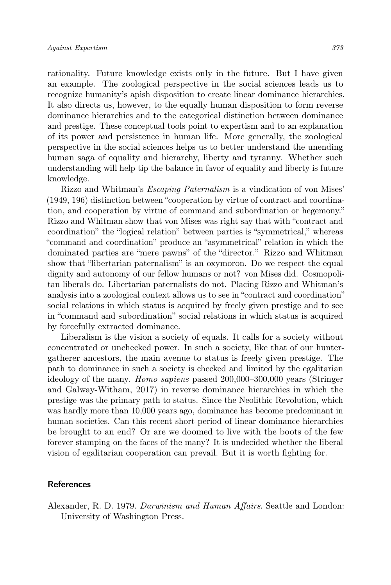rationality. Future knowledge exists only in the future. But I have given an example. The zoological perspective in the social sciences leads us to recognize humanity's apish disposition to create linear dominance hierarchies. It also directs us, however, to the equally human disposition to form reverse dominance hierarchies and to the categorical distinction between dominance and prestige. These conceptual tools point to expertism and to an explanation of its power and persistence in human life. More generally, the zoological perspective in the social sciences helps us to better understand the unending human saga of equality and hierarchy, liberty and tyranny. Whether such understanding will help tip the balance in favor of equality and liberty is future knowledge.

Rizzo and Whitman's Escaping Paternalism is a vindication of von Mises' (1949, 196) distinction between "cooperation by virtue of contract and coordination, and cooperation by virtue of command and subordination or hegemony." Rizzo and Whitman show that von Mises was right say that with "contract and coordination" the "logical relation" between parties is "symmetrical," whereas "command and coordination" produce an "asymmetrical" relation in which the dominated parties are "mere pawns" of the "director." Rizzo and Whitman show that "libertarian paternalism" is an oxymoron. Do we respect the equal dignity and autonomy of our fellow humans or not? von Mises did. Cosmopolitan liberals do. Libertarian paternalists do not. Placing Rizzo and Whitman's analysis into a zoological context allows us to see in "contract and coordination" social relations in which status is acquired by freely given prestige and to see in "command and subordination" social relations in which status is acquired by forcefully extracted dominance.

Liberalism is the vision a society of equals. It calls for a society without concentrated or unchecked power. In such a society, like that of our huntergatherer ancestors, the main avenue to status is freely given prestige. The path to dominance in such a society is checked and limited by the egalitarian ideology of the many. Homo sapiens passed 200,000–300,000 years (Stringer and Galway-Witham, 2017) in reverse dominance hierarchies in which the prestige was the primary path to status. Since the Neolithic Revolution, which was hardly more than 10,000 years ago, dominance has become predominant in human societies. Can this recent short period of linear dominance hierarchies be brought to an end? Or are we doomed to live with the boots of the few forever stamping on the faces of the many? It is undecided whether the liberal vision of egalitarian cooperation can prevail. But it is worth fighting for.

### References

Alexander, R. D. 1979. Darwinism and Human Affairs. Seattle and London: University of Washington Press.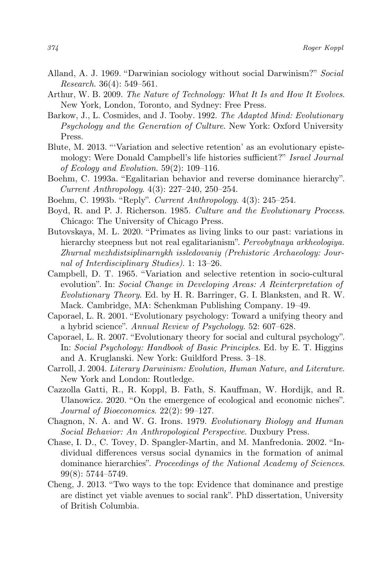- Alland, A. J. 1969. "Darwinian sociology without social Darwinism?" Social Research. 36(4): 549–561.
- Arthur, W. B. 2009. The Nature of Technology: What It Is and How It Evolves. New York, London, Toronto, and Sydney: Free Press.
- Barkow, J., L. Cosmides, and J. Tooby. 1992. The Adapted Mind: Evolutionary Psychology and the Generation of Culture. New York: Oxford University Press.
- Blute, M. 2013. "'Variation and selective retention' as an evolutionary epistemology: Were Donald Campbell's life histories sufficient?" Israel Journal of Ecology and Evolution. 59(2): 109–116.
- Boehm, C. 1993a. "Egalitarian behavior and reverse dominance hierarchy". Current Anthropology. 4(3): 227–240, 250–254.
- Boehm, C. 1993b. "Reply". Current Anthropology. 4(3): 245–254.
- Boyd, R. and P. J. Richerson. 1985. Culture and the Evolutionary Process. Chicago: The University of Chicago Press.
- Butovskaya, M. L. 2020. "Primates as living links to our past: variations in hierarchy steepness but not real egalitarianism". Pervobytnaya arkheologiya. Zhurnal mezhdistsiplinarnykh issledovaniy (Prehistoric Archaeology: Journal of Interdisciplinary Studies). 1: 13–26.
- Campbell, D. T. 1965. "Variation and selective retention in socio-cultural evolution". In: Social Change in Developing Areas: A Reinterpretation of Evolutionary Theory. Ed. by H. R. Barringer, G. I. Blanksten, and R. W. Mack. Cambridge, MA: Schenkman Publishing Company. 19–49.
- Caporael, L. R. 2001. "Evolutionary psychology: Toward a unifying theory and a hybrid science". Annual Review of Psychology. 52: 607–628.
- Caporael, L. R. 2007. "Evolutionary theory for social and cultural psychology". In: Social Psychology: Handbook of Basic Principles. Ed. by E. T. Higgins and A. Kruglanski. New York: Guildford Press. 3–18.
- Carroll, J. 2004. Literary Darwinism: Evolution, Human Nature, and Literature. New York and London: Routledge.
- Cazzolla Gatti, R., R. Koppl, B. Fath, S. Kauffman, W. Hordijk, and R. Ulanowicz. 2020. "On the emergence of ecological and economic niches". Journal of Bioeconomics. 22(2): 99–127.
- Chagnon, N. A. and W. G. Irons. 1979. Evolutionary Biology and Human Social Behavior: An Anthropological Perspective. Duxbury Press.
- Chase, I. D., C. Tovey, D. Spangler-Martin, and M. Manfredonia. 2002. "Individual differences versus social dynamics in the formation of animal dominance hierarchies". Proceedings of the National Academy of Sciences. 99(8): 5744–5749.
- Cheng, J. 2013. "Two ways to the top: Evidence that dominance and prestige are distinct yet viable avenues to social rank". PhD dissertation, University of British Columbia.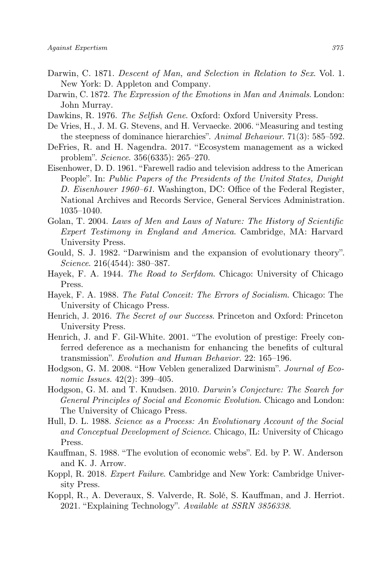- Darwin, C. 1871. Descent of Man, and Selection in Relation to Sex. Vol. 1. New York: D. Appleton and Company.
- Darwin, C. 1872. The Expression of the Emotions in Man and Animals. London: John Murray.
- Dawkins, R. 1976. The Selfish Gene. Oxford: Oxford University Press.
- De Vries, H., J. M. G. Stevens, and H. Vervaecke. 2006. "Measuring and testing the steepness of dominance hierarchies". Animal Behaviour. 71(3): 585–592.
- DeFries, R. and H. Nagendra. 2017. "Ecosystem management as a wicked problem". Science. 356(6335): 265–270.
- Eisenhower, D. D. 1961. "Farewell radio and television address to the American People". In: Public Papers of the Presidents of the United States, Dwight D. Eisenhower 1960–61. Washington, DC: Office of the Federal Register, National Archives and Records Service, General Services Administration. 1035–1040.
- Golan, T. 2004. Laws of Men and Laws of Nature: The History of Scientific Expert Testimony in England and America. Cambridge, MA: Harvard University Press.
- Gould, S. J. 1982. "Darwinism and the expansion of evolutionary theory". Science. 216(4544): 380–387.
- Hayek, F. A. 1944. The Road to Serfdom. Chicago: University of Chicago Press.
- Hayek, F. A. 1988. The Fatal Conceit: The Errors of Socialism. Chicago: The University of Chicago Press.
- Henrich, J. 2016. The Secret of our Success. Princeton and Oxford: Princeton University Press.
- Henrich, J. and F. Gil-White. 2001. "The evolution of prestige: Freely conferred deference as a mechanism for enhancing the benefits of cultural transmission". Evolution and Human Behavior. 22: 165–196.
- Hodgson, G. M. 2008. "How Veblen generalized Darwinism". Journal of Economic Issues.  $42(2)$ : 399–405.
- Hodgson, G. M. and T. Knudsen. 2010. Darwin's Conjecture: The Search for General Principles of Social and Economic Evolution. Chicago and London: The University of Chicago Press.
- Hull, D. L. 1988. Science as a Process: An Evolutionary Account of the Social and Conceptual Development of Science. Chicago, IL: University of Chicago Press.
- Kauffman, S. 1988. "The evolution of economic webs". Ed. by P. W. Anderson and K. J. Arrow.
- Koppl, R. 2018. Expert Failure. Cambridge and New York: Cambridge University Press.
- Koppl, R., A. Deveraux, S. Valverde, R. Solé, S. Kauffman, and J. Herriot. 2021. "Explaining Technology". Available at SSRN 3856338.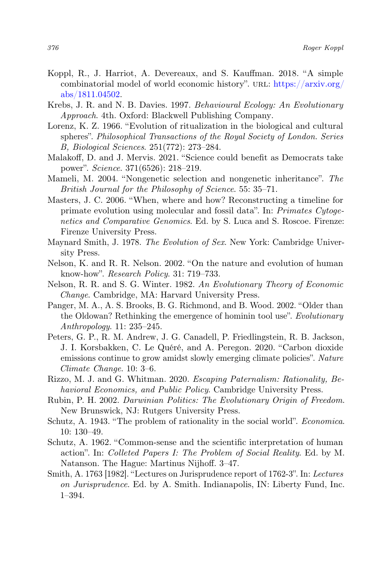- Koppl, R., J. Harriot, A. Devereaux, and S. Kauffman. 2018. "A simple combinatorial model of world economic history". URL:  $\frac{h}{h}$ ttps://arxiv.org/ [abs/1811.04502.](https://arxiv.org/abs/1811.04502)
- Krebs, J. R. and N. B. Davies. 1997. Behavioural Ecology: An Evolutionary Approach. 4th. Oxford: Blackwell Publishing Company.
- Lorenz, K. Z. 1966. "Evolution of ritualization in the biological and cultural spheres". Philosophical Transactions of the Royal Society of London. Series B, Biological Sciences. 251(772): 273–284.
- Malakoff, D. and J. Mervis. 2021. "Science could benefit as Democrats take power". Science. 371(6526): 218–219.
- Mameli, M. 2004. "Nongenetic selection and nongenetic inheritance". The British Journal for the Philosophy of Science. 55: 35–71.
- Masters, J. C. 2006. "When, where and how? Reconstructing a timeline for primate evolution using molecular and fossil data". In: Primates Cytogenetics and Comparative Genomics. Ed. by S. Luca and S. Roscoe. Firenze: Firenze University Press.
- Maynard Smith, J. 1978. The Evolution of Sex. New York: Cambridge University Press.
- Nelson, K. and R. R. Nelson. 2002. "On the nature and evolution of human know-how". Research Policy. 31: 719–733.
- Nelson, R. R. and S. G. Winter. 1982. An Evolutionary Theory of Economic Change. Cambridge, MA: Harvard University Press.
- Panger, M. A., A. S. Brooks, B. G. Richmond, and B. Wood. 2002. "Older than the Oldowan? Rethinking the emergence of hominin tool use". Evolutionary Anthropology. 11: 235–245.
- Peters, G. P., R. M. Andrew, J. G. Canadell, P. Friedlingstein, R. B. Jackson, J. I. Korsbakken, C. Le Quéré, and A. Peregon. 2020. "Carbon dioxide emissions continue to grow amidst slowly emerging climate policies". Nature Climate Change. 10: 3–6.
- Rizzo, M. J. and G. Whitman. 2020. Escaping Paternalism: Rationality, Behavioral Economics, and Public Policy. Cambridge University Press.
- Rubin, P. H. 2002. Darwinian Politics: The Evolutionary Origin of Freedom. New Brunswick, NJ: Rutgers University Press.
- Schutz, A. 1943. "The problem of rationality in the social world". Economica. 10: 130–49.
- Schutz, A. 1962. "Common-sense and the scientific interpretation of human action". In: Colleted Papers I: The Problem of Social Reality. Ed. by M. Natanson. The Hague: Martinus Nijhoff. 3–47.
- Smith, A. 1763 [1982]. "Lectures on Jurisprudence report of 1762-3". In: Lectures on Jurisprudence. Ed. by A. Smith. Indianapolis, IN: Liberty Fund, Inc. 1–394.